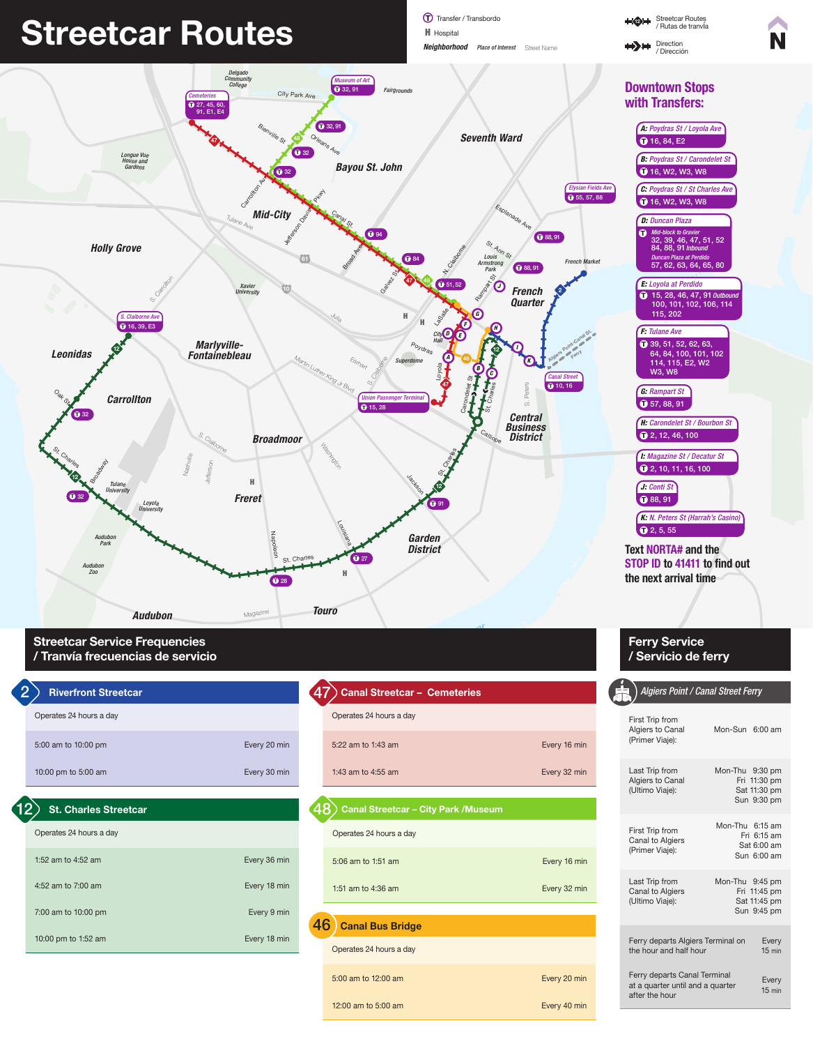

Operates 24 hours a day



# **Canal Blvd** Streetcar Routes Hart

Paris Avenue III (1999)<br>Pransfer / Transbordo Streetcar Routes<br>President Streetcar Routes *Neighborhood Place of Interest*  Street Name **H** Hospital



First Trip from

| 5:00 am to 10:00 pm          | Every 20 min | 5:22 am to 1:43 am                         | Every 16 min | Algiers to Canal<br>(Primer Viaje):                              | Mon-Sun 6:00 am             |                              |
|------------------------------|--------------|--------------------------------------------|--------------|------------------------------------------------------------------|-----------------------------|------------------------------|
| 10:00 pm to 5:00 am          | Every 30 min | 1:43 am to 4:55 am                         | Every 32 min | Last Trip from<br>Algiers to Canal                               | Mon-Thu 9:30 pm             | Fri 11:30 pm                 |
| <b>St. Charles Streetcar</b> |              | <b>Canal Streetcar - City Park /Museum</b> |              | (Ultimo Viaje):                                                  | Sat 11:30 pm<br>Sun 9:30 pm |                              |
| Operates 24 hours a day      |              | Operates 24 hours a day                    |              | First Trip from<br>Canal to Algiers                              | Mon-Thu 6:15 am             | Fri 6:15 am<br>Sat 6:00 am   |
| 1:52 am to 4:52 am           | Every 36 min | 5:06 am to 1:51 am                         | Every 16 min | (Primer Viaje):                                                  | Sun 6:00 am                 |                              |
| 4:52 am to 7:00 am           | Every 18 min | 1:51 am to 4:36 am                         | Every 32 min | Last Trip from<br>Canal to Algiers<br>(Ultimo Viaje):            | Mon-Thu 9:45 pm             | Fri 11:45 pm<br>Sat 11:45 pm |
| 7:00 am to 10:00 pm          | Every 9 min  | 46<br><b>Canal Bus Bridge</b>              |              |                                                                  | Sun 9:45 pm                 |                              |
| 10:00 pm to 1:52 am          | Every 18 min | Operates 24 hours a day                    |              | Ferry departs Algiers Terminal on<br>the hour and half hour      |                             | Every<br>$15$ min            |
|                              |              | 5:00 am to 12:00 am                        | Every 20 min | Ferry departs Canal Terminal<br>at a quarter until and a quarter |                             | Every<br>$15$ min            |
|                              |              | 12:00 am to 5:00 am                        | Every 40 min | after the hour                                                   |                             |                              |

Streetcar Routes **1321** / Rutas de tranvía Direction  $\leftrightarrow$ / Dirección



Manhattan



*St. Bernard*